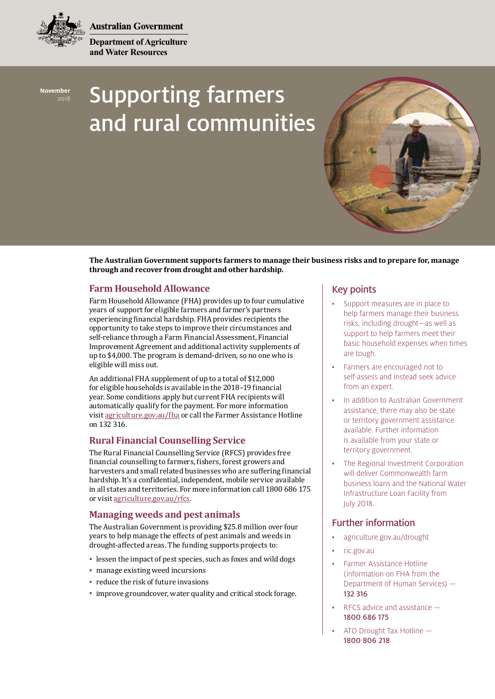**Australian Government** 

**Department of Agriculture and Water Resources**



# Supporting farmers and rural communities



**The Australian Government supports farmers to manage their business risks and to prepare for, manage through and recover from drought and other hardship.**

## **Farm Household Allowance**

Farm Household Allowance (FHA) provides up to four cumulative years of support for eligible farmers and farmer's partners experiencing financial hardship. FHA provides recipients the opportunity to take steps to improve their circumstances and self-reliance through a Farm Financial Assessment, Financial Improvement Agreement and additional activity supplements of up to \$4,000. The program is demand-driven, so no one who is eligible will miss out.

An additional FHA supplement of up to a total of \$12,000 for eligible households is available in the 2018–19 financial year. Some conditions apply but current FHA recipients will automatically qualify for the payment. For more information visit [agriculture.gov.au/fha](http://www.agriculture.gov.au/fha) or call the Farmer Assistance Hotline on 132 316.

## **Rural Financial Counselling Service**

The Rural Financial Counselling Service (RFCS) provides free financial counselling to farmers, fishers, forest growers and harvesters and small related businesses who are suffering financial hardship. It's a confidential, independent, mobile service available in all states and territories. For more information call 1800 686 175 or visit [agriculture.gov.au/rfcs.](http://www.agriculture.gov.au/rfcs)

## **Managing weeds and pest animals**

The Australian Government is providing \$25.8 million over four years to help manage the effects of pest animals and weeds in drought-affected areas. The funding supports projects to:

- lessen the impact of pest species, such as foxes and wild dogs
- manage existing weed incursions
- reduce the risk of future invasions
- improve groundcover, water quality and critical stock forage.

# Key points

- Support measures are in place to help farmers manage their business risks, including drought—as well as support to help farmers meet their basic household expenses when times are tough.
- Farmers are encouraged not to self-assess and instead seek advice from an expert.
- In addition to Australian Government assistance, there may also be state or territory government assistance available. Further information is available from your state or territory government.
- The Regional Investment Corporation will deliver Commonwealth farm business loans and the National Water Infrastructure Loan Facility from July 2018.

## Further information

- [agriculture.gov.au/drought](http://www.agriculture.gov.au/drought)
- [ric.gov.au](http://www.ric.gov.au
)
- Farmer Assistance Hotline (information on FHA from the Department of Human Services) — 132 316
- RFCS advice and assistance 1800 686 175
- ATO Drought Tax Hotline 1800 806 218